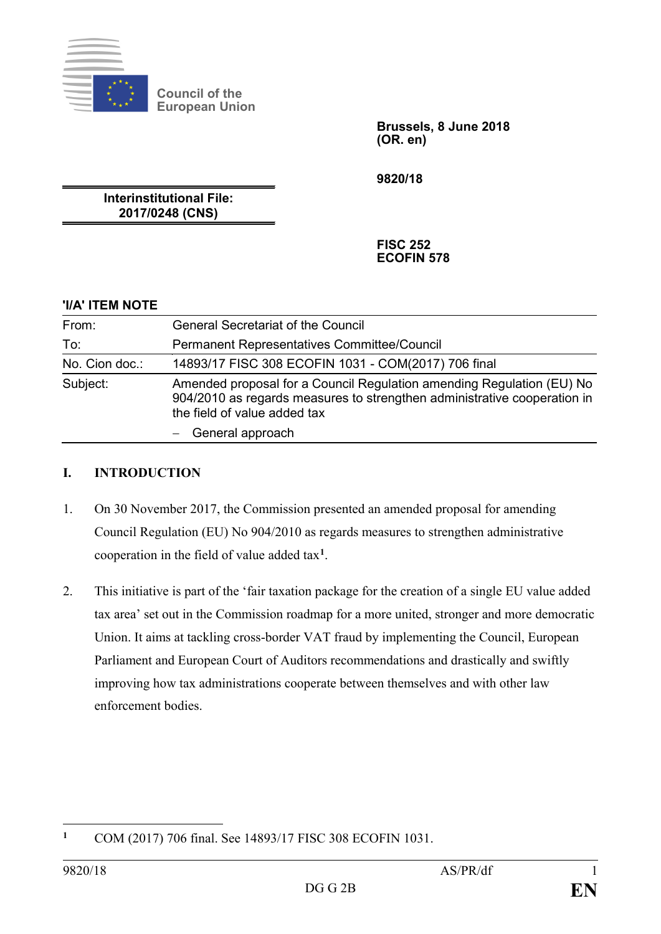

**Council of the European Union**

> **Brussels, 8 June 2018 (OR. en)**

**9820/18**

**Interinstitutional File: 2017/0248 (CNS)**

> **FISC 252 ECOFIN 578**

## **'I/A' ITEM NOTE**

| From:          | <b>General Secretariat of the Council</b>                                                                                                                                         |
|----------------|-----------------------------------------------------------------------------------------------------------------------------------------------------------------------------------|
| To:            | <b>Permanent Representatives Committee/Council</b>                                                                                                                                |
| No. Cion doc.: | 14893/17 FISC 308 ECOFIN 1031 - COM(2017) 706 final                                                                                                                               |
| Subject:       | Amended proposal for a Council Regulation amending Regulation (EU) No<br>904/2010 as regards measures to strengthen administrative cooperation in<br>the field of value added tax |
|                | General approach                                                                                                                                                                  |

## **I. INTRODUCTION**

- 1. On 30 November 2017, the Commission presented an amended proposal for amending Council Regulation (EU) No 904/2010 as regards measures to strengthen administrative cooperation in the field of value added tax**[1](#page-0-0)**.
- 2. This initiative is part of the 'fair taxation package for the creation of a single EU value added tax area' set out in the Commission roadmap for a more united, stronger and more democratic Union. It aims at tackling cross-border VAT fraud by implementing the Council, European Parliament and European Court of Auditors recommendations and drastically and swiftly improving how tax administrations cooperate between themselves and with other law enforcement bodies.

<span id="page-0-0"></span> $\mathbf{1}$ **<sup>1</sup>** COM (2017) 706 final. See 14893/17 FISC 308 ECOFIN 1031.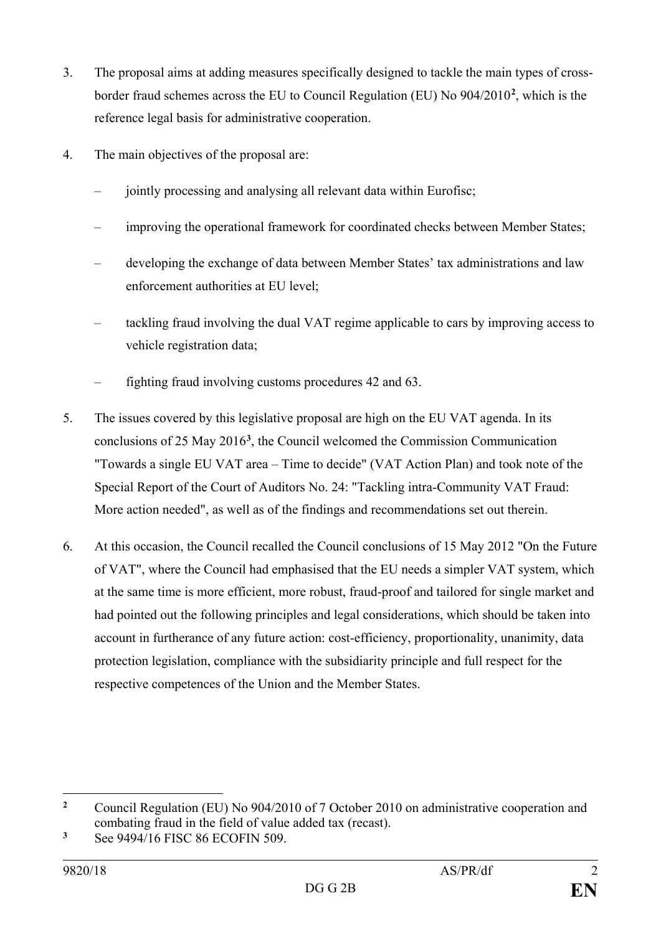- 3. The proposal aims at adding measures specifically designed to tackle the main types of crossborder fraud schemes across the EU to Council Regulation (EU) No 904/2010**[2](#page-1-0)** , which is the reference legal basis for administrative cooperation.
- 4. The main objectives of the proposal are:
	- jointly processing and analysing all relevant data within Eurofisc;
	- improving the operational framework for coordinated checks between Member States;
	- developing the exchange of data between Member States' tax administrations and law enforcement authorities at EU level;
	- tackling fraud involving the dual VAT regime applicable to cars by improving access to vehicle registration data;
	- fighting fraud involving customs procedures 42 and 63.
- 5. The issues covered by this legislative proposal are high on the EU VAT agenda. In its conclusions of 25 May 2016**[3](#page-1-1)**, the Council welcomed the Commission Communication "Towards a single EU VAT area – Time to decide" (VAT Action Plan) and took note of the Special Report of the Court of Auditors No. 24: "Tackling intra-Community VAT Fraud: More action needed", as well as of the findings and recommendations set out therein.
- 6. At this occasion, the Council recalled the Council conclusions of 15 May 2012 "On the Future of VAT", where the Council had emphasised that the EU needs a simpler VAT system, which at the same time is more efficient, more robust, fraud-proof and tailored for single market and had pointed out the following principles and legal considerations, which should be taken into account in furtherance of any future action: cost-efficiency, proportionality, unanimity, data protection legislation, compliance with the subsidiarity principle and full respect for the respective competences of the Union and the Member States.

<span id="page-1-0"></span> $\overline{2}$ **<sup>2</sup>** Council Regulation (EU) No 904/2010 of 7 October 2010 on administrative cooperation and combating fraud in the field of value added tax (recast).

<span id="page-1-1"></span>**<sup>3</sup>** See 9494/16 FISC 86 ECOFIN 509.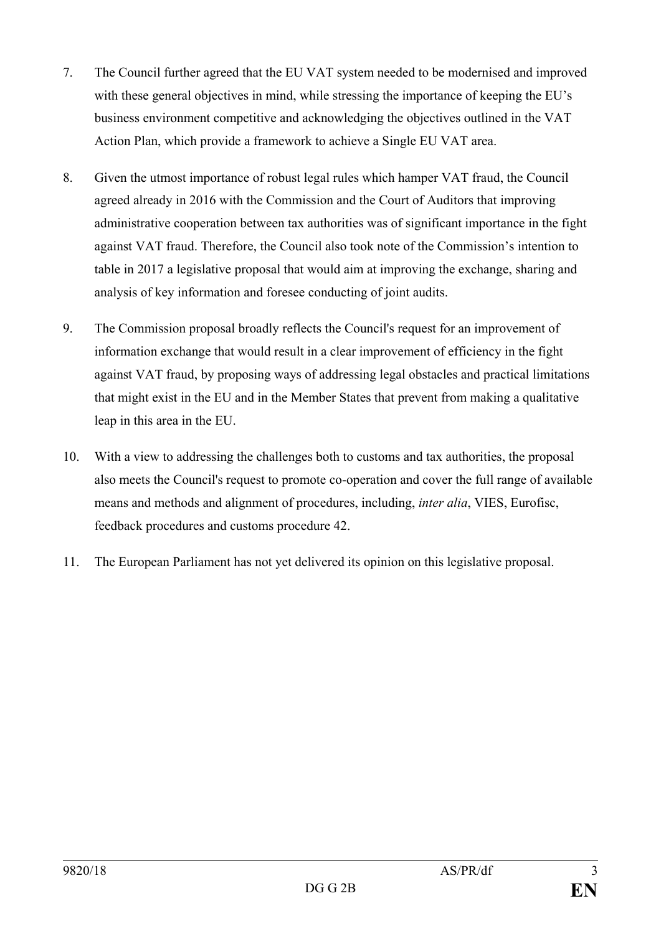- 7. The Council further agreed that the EU VAT system needed to be modernised and improved with these general objectives in mind, while stressing the importance of keeping the EU's business environment competitive and acknowledging the objectives outlined in the VAT Action Plan, which provide a framework to achieve a Single EU VAT area.
- 8. Given the utmost importance of robust legal rules which hamper VAT fraud, the Council agreed already in 2016 with the Commission and the Court of Auditors that improving administrative cooperation between tax authorities was of significant importance in the fight against VAT fraud. Therefore, the Council also took note of the Commission's intention to table in 2017 a legislative proposal that would aim at improving the exchange, sharing and analysis of key information and foresee conducting of joint audits.
- 9. The Commission proposal broadly reflects the Council's request for an improvement of information exchange that would result in a clear improvement of efficiency in the fight against VAT fraud, by proposing ways of addressing legal obstacles and practical limitations that might exist in the EU and in the Member States that prevent from making a qualitative leap in this area in the EU.
- 10. With a view to addressing the challenges both to customs and tax authorities, the proposal also meets the Council's request to promote co-operation and cover the full range of available means and methods and alignment of procedures, including, *inter alia*, VIES, Eurofisc, feedback procedures and customs procedure 42.
- 11. The European Parliament has not yet delivered its opinion on this legislative proposal.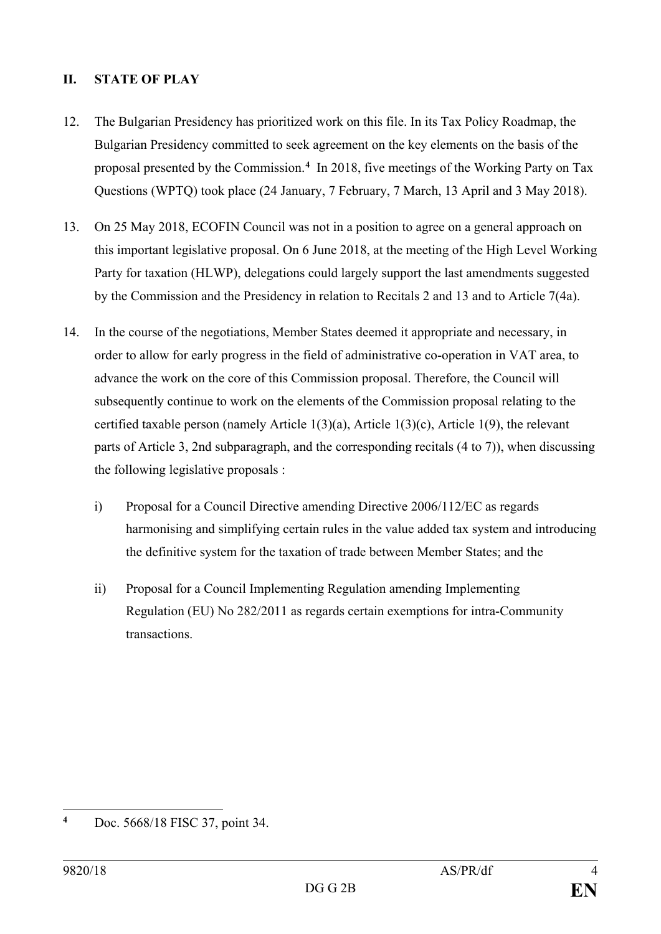## **II. STATE OF PLAY**

- 12. The Bulgarian Presidency has prioritized work on this file. In its Tax Policy Roadmap, the Bulgarian Presidency committed to seek agreement on the key elements on the basis of the proposal presented by the Commission.**[4](#page-3-0)** In 2018, five meetings of the Working Party on Tax Questions (WPTQ) took place (24 January, 7 February, 7 March, 13 April and 3 May 2018).
- 13. On 25 May 2018, ECOFIN Council was not in a position to agree on a general approach on this important legislative proposal. On 6 June 2018, at the meeting of the High Level Working Party for taxation (HLWP), delegations could largely support the last amendments suggested by the Commission and the Presidency in relation to Recitals 2 and 13 and to Article 7(4a).
- 14. In the course of the negotiations, Member States deemed it appropriate and necessary, in order to allow for early progress in the field of administrative co-operation in VAT area, to advance the work on the core of this Commission proposal. Therefore, the Council will subsequently continue to work on the elements of the Commission proposal relating to the certified taxable person (namely Article 1(3)(a), Article 1(3)(c), Article 1(9), the relevant parts of Article 3, 2nd subparagraph, and the corresponding recitals (4 to 7)), when discussing the following legislative proposals :
	- i) Proposal for a Council Directive amending Directive 2006/112/EC as regards harmonising and simplifying certain rules in the value added tax system and introducing the definitive system for the taxation of trade between Member States; and the
	- ii) Proposal for a Council Implementing Regulation amending Implementing Regulation (EU) No 282/2011 as regards certain exemptions for intra-Community transactions.

<span id="page-3-0"></span> $\overline{\mathbf{4}}$ **<sup>4</sup>** Doc. 5668/18 FISC 37, point 34.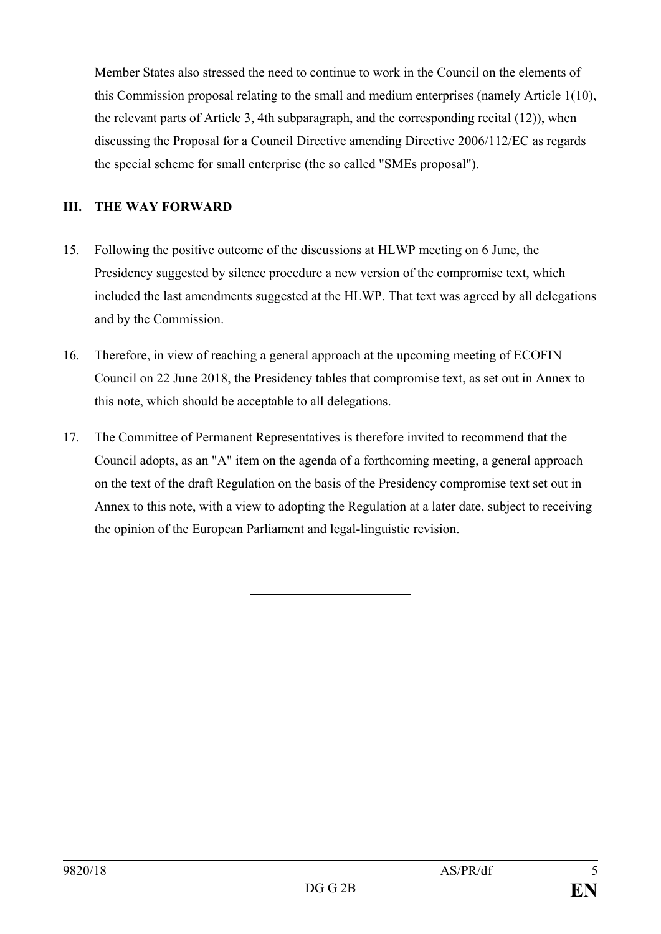Member States also stressed the need to continue to work in the Council on the elements of this Commission proposal relating to the small and medium enterprises (namely Article 1(10), the relevant parts of Article 3, 4th subparagraph, and the corresponding recital (12)), when discussing the Proposal for a Council Directive amending Directive 2006/112/EC as regards the special scheme for small enterprise (the so called "SMEs proposal").

## **III. THE WAY FORWARD**

- 15. Following the positive outcome of the discussions at HLWP meeting on 6 June, the Presidency suggested by silence procedure a new version of the compromise text, which included the last amendments suggested at the HLWP. That text was agreed by all delegations and by the Commission.
- 16. Therefore, in view of reaching a general approach at the upcoming meeting of ECOFIN Council on 22 June 2018, the Presidency tables that compromise text, as set out in Annex to this note, which should be acceptable to all delegations.
- 17. The Committee of Permanent Representatives is therefore invited to recommend that the Council adopts, as an "A" item on the agenda of a forthcoming meeting, a general approach on the text of the draft Regulation on the basis of the Presidency compromise text set out in Annex to this note, with a view to adopting the Regulation at a later date, subject to receiving the opinion of the European Parliament and legal-linguistic revision.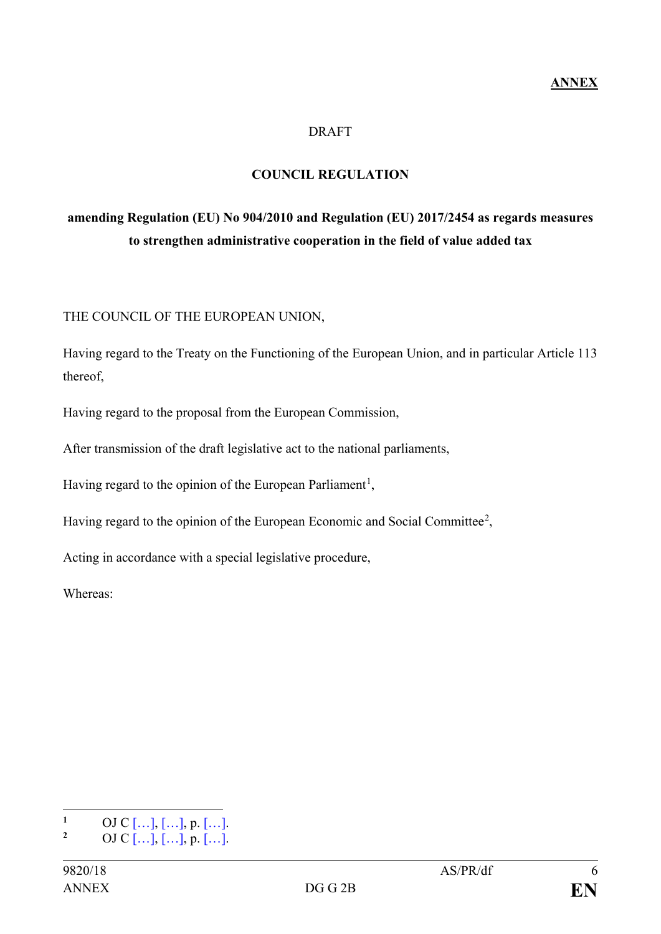#### **DRAFT**

## **COUNCIL REGULATION**

# **amending Regulation (EU) No 904/2010 and Regulation (EU) 2017/2454 as regards measures to strengthen administrative cooperation in the field of value added tax**

THE COUNCIL OF THE EUROPEAN UNION,

Having regard to the Treaty on the Functioning of the European Union, and in particular Article 113 thereof,

Having regard to the proposal from the European Commission,

After transmission of the draft legislative act to the national parliaments,

Having regard to the opinion of the European Parliament<sup>[1](#page-5-0)</sup>,

Having regard to the opinion of the European Economic and Social Committee<sup>[2](#page-5-1)</sup>,

Acting in accordance with a special legislative procedure,

Whereas:

<span id="page-5-1"></span><span id="page-5-0"></span> $\mathbf{1}$  $\frac{1}{2}$  OJ C […], […], p. […]. **<sup>2</sup>** OJ C […], […], p. […].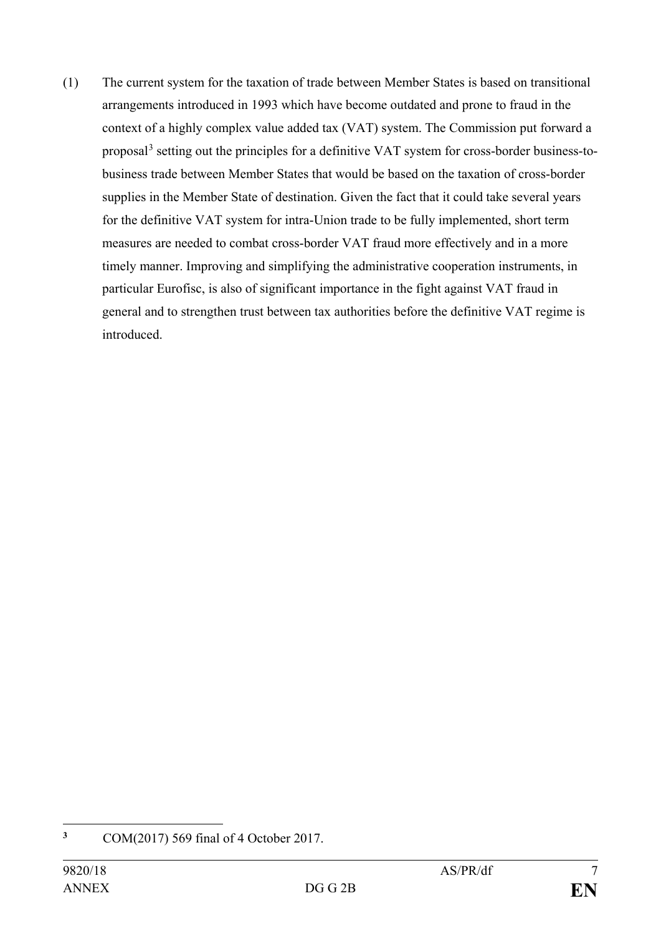(1) The current system for the taxation of trade between Member States is based on transitional arrangements introduced in 1993 which have become outdated and prone to fraud in the context of a highly complex value added tax (VAT) system. The Commission put forward a proposal[3](#page-6-0) setting out the principles for a definitive VAT system for cross-border business-tobusiness trade between Member States that would be based on the taxation of cross-border supplies in the Member State of destination. Given the fact that it could take several years for the definitive VAT system for intra-Union trade to be fully implemented, short term measures are needed to combat cross-border VAT fraud more effectively and in a more timely manner. Improving and simplifying the administrative cooperation instruments, in particular Eurofisc, is also of significant importance in the fight against VAT fraud in general and to strengthen trust between tax authorities before the definitive VAT regime is introduced.

<span id="page-6-0"></span> $\overline{\mathbf{3}}$ **<sup>3</sup>** COM(2017) 569 final of 4 October 2017.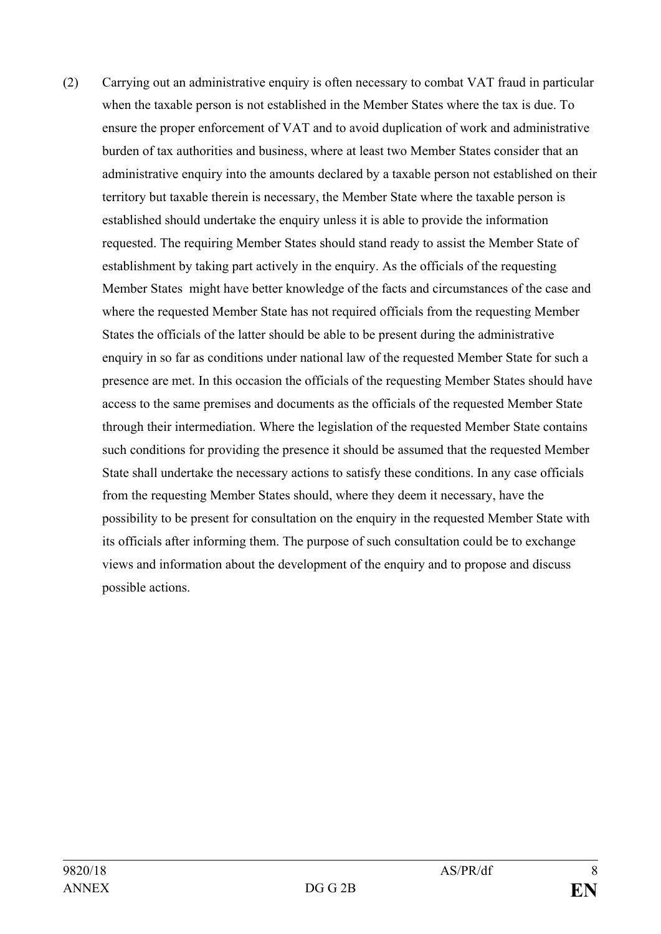(2) Carrying out an administrative enquiry is often necessary to combat VAT fraud in particular when the taxable person is not established in the Member States where the tax is due. To ensure the proper enforcement of VAT and to avoid duplication of work and administrative burden of tax authorities and business, where at least two Member States consider that an administrative enquiry into the amounts declared by a taxable person not established on their territory but taxable therein is necessary, the Member State where the taxable person is established should undertake the enquiry unless it is able to provide the information requested. The requiring Member States should stand ready to assist the Member State of establishment by taking part actively in the enquiry. As the officials of the requesting Member States might have better knowledge of the facts and circumstances of the case and where the requested Member State has not required officials from the requesting Member States the officials of the latter should be able to be present during the administrative enquiry in so far as conditions under national law of the requested Member State for such a presence are met. In this occasion the officials of the requesting Member States should have access to the same premises and documents as the officials of the requested Member State through their intermediation. Where the legislation of the requested Member State contains such conditions for providing the presence it should be assumed that the requested Member State shall undertake the necessary actions to satisfy these conditions. In any case officials from the requesting Member States should, where they deem it necessary, have the possibility to be present for consultation on the enquiry in the requested Member State with its officials after informing them. The purpose of such consultation could be to exchange views and information about the development of the enquiry and to propose and discuss possible actions.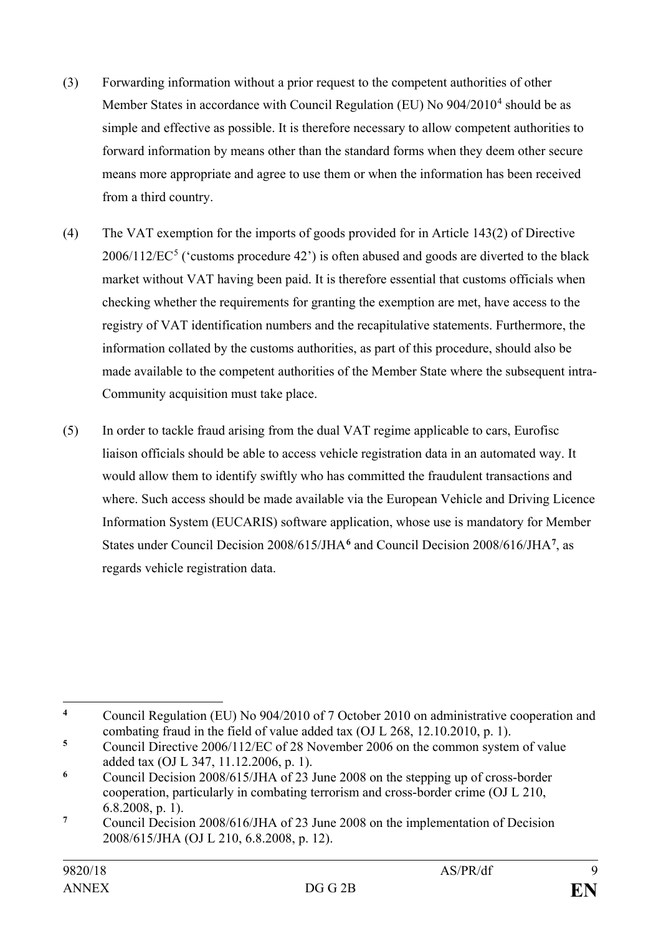- (3) Forwarding information without a prior request to the competent authorities of other Member States in accordance with Council Regulation (EU) No  $904/2010^4$  $904/2010^4$  $904/2010^4$  should be as simple and effective as possible. It is therefore necessary to allow competent authorities to forward information by means other than the standard forms when they deem other secure means more appropriate and agree to use them or when the information has been received from a third country.
- (4) The VAT exemption for the imports of goods provided for in Article 143(2) of Directive  $2006/112/EC^5$  $2006/112/EC^5$  ('customs procedure 42') is often abused and goods are diverted to the black market without VAT having been paid. It is therefore essential that customs officials when checking whether the requirements for granting the exemption are met, have access to the registry of VAT identification numbers and the recapitulative statements. Furthermore, the information collated by the customs authorities, as part of this procedure, should also be made available to the competent authorities of the Member State where the subsequent intra-Community acquisition must take place.
- (5) In order to tackle fraud arising from the dual VAT regime applicable to cars, Eurofisc liaison officials should be able to access vehicle registration data in an automated way. It would allow them to identify swiftly who has committed the fraudulent transactions and where. Such access should be made available via the European Vehicle and Driving Licence Information System (EUCARIS) software application, whose use is mandatory for Member States under Council Decision 2008/615/JHA**[6](#page-8-2)** and Council Decision 2008/616/JHA**[7](#page-8-3)** , as regards vehicle registration data.

<span id="page-8-0"></span> $\overline{a}$ **<sup>4</sup>** Council Regulation (EU) No 904/2010 of 7 October 2010 on administrative cooperation and combating fraud in the field of value added tax (OJ L 268, 12.10.2010, p. 1).

<span id="page-8-1"></span>**<sup>5</sup>** Council Directive 2006/112/EC of 28 November 2006 on the common system of value added tax (OJ L 347, 11.12.2006, p. 1).

<span id="page-8-2"></span>**<sup>6</sup>** Council Decision 2008/615/JHA of 23 June 2008 on the stepping up of cross-border cooperation, particularly in combating terrorism and cross-border crime (OJ L 210, 6.8.2008, p. 1).

<span id="page-8-3"></span>**<sup>7</sup>** Council Decision 2008/616/JHA of 23 June 2008 on the implementation of Decision 2008/615/JHA (OJ L 210, 6.8.2008, p. 12).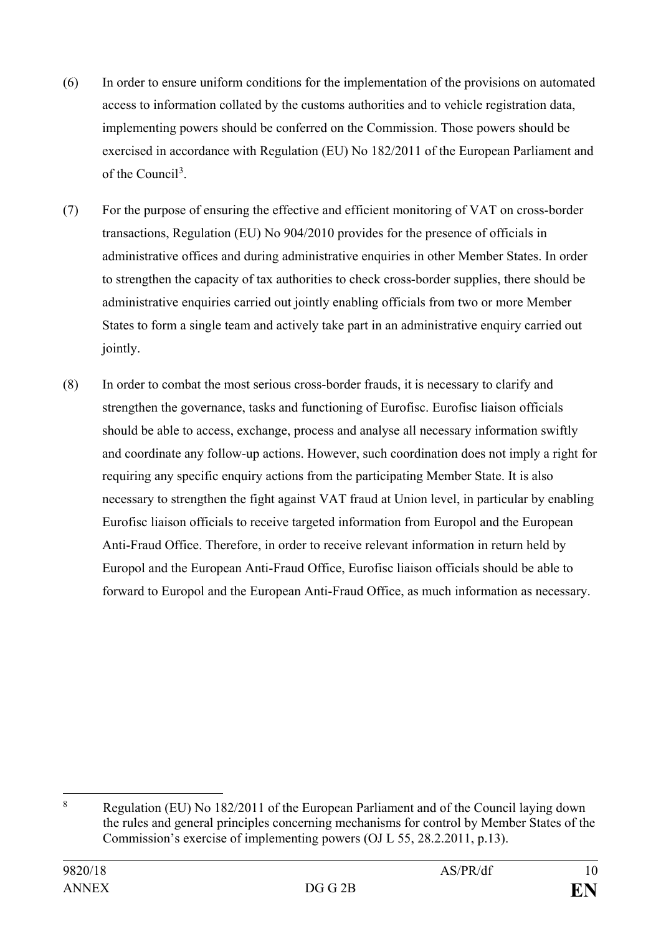- (6) In order to ensure uniform conditions for the implementation of the provisions on automated access to information collated by the customs authorities and to vehicle registration data, implementing powers should be conferred on the Commission. Those powers should be exercised in accordance with Regulation (EU) No 182/2011 of the European Parliament and of the Council<sup>[3](#page-9-0)</sup>.
- (7) For the purpose of ensuring the effective and efficient monitoring of VAT on cross-border transactions, Regulation (EU) No 904/2010 provides for the presence of officials in administrative offices and during administrative enquiries in other Member States. In order to strengthen the capacity of tax authorities to check cross-border supplies, there should be administrative enquiries carried out jointly enabling officials from two or more Member States to form a single team and actively take part in an administrative enquiry carried out jointly.
- (8) In order to combat the most serious cross-border frauds, it is necessary to clarify and strengthen the governance, tasks and functioning of Eurofisc. Eurofisc liaison officials should be able to access, exchange, process and analyse all necessary information swiftly and coordinate any follow-up actions. However, such coordination does not imply a right for requiring any specific enquiry actions from the participating Member State. It is also necessary to strengthen the fight against VAT fraud at Union level, in particular by enabling Eurofisc liaison officials to receive targeted information from Europol and the European Anti-Fraud Office. Therefore, in order to receive relevant information in return held by Europol and the European Anti-Fraud Office, Eurofisc liaison officials should be able to forward to Europol and the European Anti-Fraud Office, as much information as necessary.

<span id="page-9-0"></span> <sup>8</sup> Regulation (EU) No 182/2011 of the European Parliament and of the Council laying down the rules and general principles concerning mechanisms for control by Member States of the Commission's exercise of implementing powers (OJ L 55, 28.2.2011, p.13).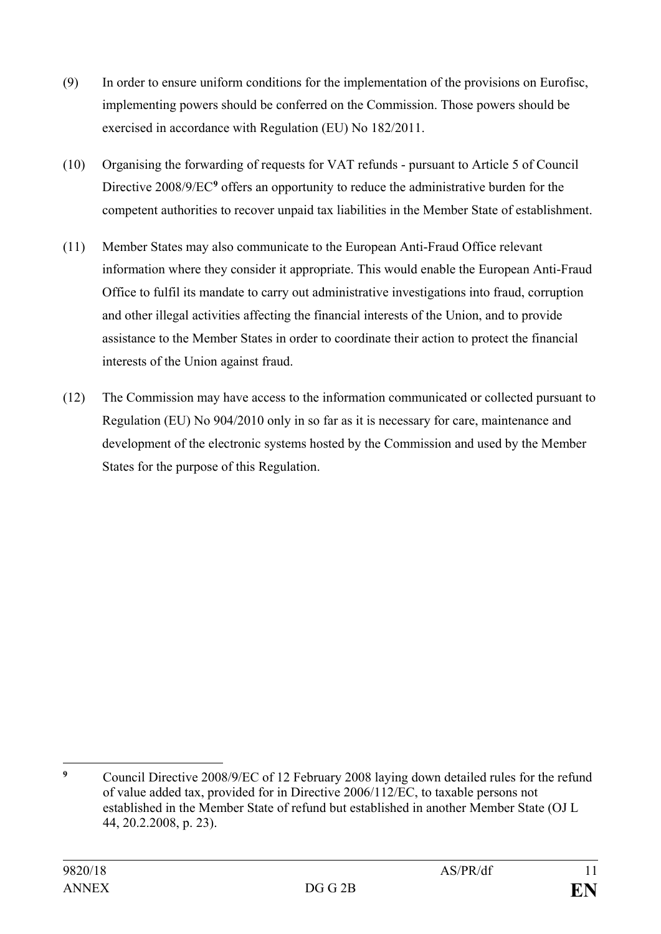- (9) In order to ensure uniform conditions for the implementation of the provisions on Eurofisc, implementing powers should be conferred on the Commission. Those powers should be exercised in accordance with Regulation (EU) No 182/2011.
- (10) Organising the forwarding of requests for VAT refunds pursuant to Article 5 of Council Directive 2008/9/EC**[9](#page-10-0)** offers an opportunity to reduce the administrative burden for the competent authorities to recover unpaid tax liabilities in the Member State of establishment.
- (11) Member States may also communicate to the European Anti-Fraud Office relevant information where they consider it appropriate. This would enable the European Anti-Fraud Office to fulfil its mandate to carry out administrative investigations into fraud, corruption and other illegal activities affecting the financial interests of the Union, and to provide assistance to the Member States in order to coordinate their action to protect the financial interests of the Union against fraud.
- (12) The Commission may have access to the information communicated or collected pursuant to Regulation (EU) No 904/2010 only in so far as it is necessary for care, maintenance and development of the electronic systems hosted by the Commission and used by the Member States for the purpose of this Regulation.

<span id="page-10-0"></span> $\mathbf{q}$ **<sup>9</sup>** Council Directive 2008/9/EC of 12 February 2008 laying down detailed rules for the refund of value added tax, provided for in Directive 2006/112/EC, to taxable persons not established in the Member State of refund but established in another Member State (OJ L 44, 20.2.2008, p. 23).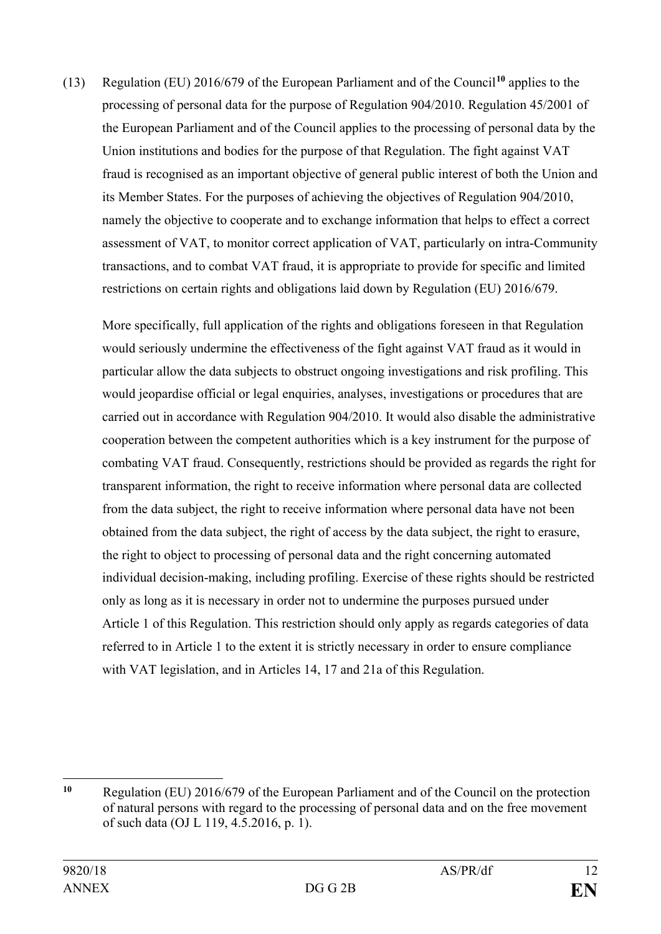(13) Regulation (EU) 2016/679 of the European Parliament and of the Council**[10](#page-11-0)** applies to the processing of personal data for the purpose of Regulation 904/2010. Regulation 45/2001 of the European Parliament and of the Council applies to the processing of personal data by the Union institutions and bodies for the purpose of that Regulation. The fight against VAT fraud is recognised as an important objective of general public interest of both the Union and its Member States. For the purposes of achieving the objectives of Regulation 904/2010, namely the objective to cooperate and to exchange information that helps to effect a correct assessment of VAT, to monitor correct application of VAT, particularly on intra-Community transactions, and to combat VAT fraud, it is appropriate to provide for specific and limited restrictions on certain rights and obligations laid down by Regulation (EU) 2016/679.

More specifically, full application of the rights and obligations foreseen in that Regulation would seriously undermine the effectiveness of the fight against VAT fraud as it would in particular allow the data subjects to obstruct ongoing investigations and risk profiling. This would jeopardise official or legal enquiries, analyses, investigations or procedures that are carried out in accordance with Regulation 904/2010. It would also disable the administrative cooperation between the competent authorities which is a key instrument for the purpose of combating VAT fraud. Consequently, restrictions should be provided as regards the right for transparent information, the right to receive information where personal data are collected from the data subject, the right to receive information where personal data have not been obtained from the data subject, the right of access by the data subject, the right to erasure, the right to object to processing of personal data and the right concerning automated individual decision-making, including profiling. Exercise of these rights should be restricted only as long as it is necessary in order not to undermine the purposes pursued under Article 1 of this Regulation. This restriction should only apply as regards categories of data referred to in Article 1 to the extent it is strictly necessary in order to ensure compliance with VAT legislation, and in Articles 14, 17 and 21a of this Regulation.

<span id="page-11-0"></span> $\overline{a}$ **<sup>10</sup>** Regulation (EU) 2016/679 of the European Parliament and of the Council on the protection of natural persons with regard to the processing of personal data and on the free movement of such data (OJ L 119, 4.5.2016, p. 1).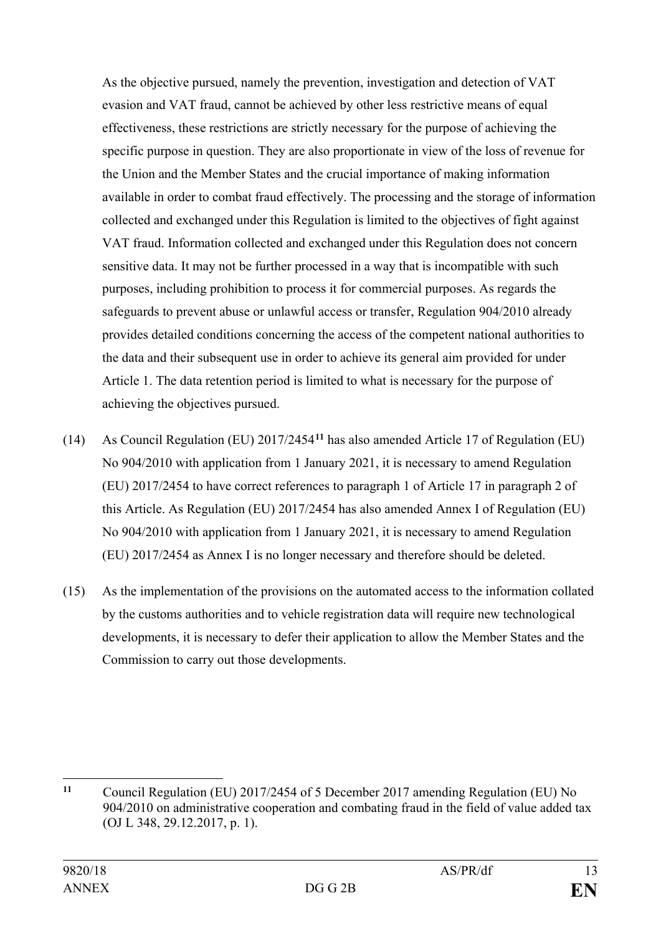As the objective pursued, namely the prevention, investigation and detection of VAT evasion and VAT fraud, cannot be achieved by other less restrictive means of equal effectiveness, these restrictions are strictly necessary for the purpose of achieving the specific purpose in question. They are also proportionate in view of the loss of revenue for the Union and the Member States and the crucial importance of making information available in order to combat fraud effectively. The processing and the storage of information collected and exchanged under this Regulation is limited to the objectives of fight against VAT fraud. Information collected and exchanged under this Regulation does not concern sensitive data. It may not be further processed in a way that is incompatible with such purposes, including prohibition to process it for commercial purposes. As regards the safeguards to prevent abuse or unlawful access or transfer, Regulation 904/2010 already provides detailed conditions concerning the access of the competent national authorities to the data and their subsequent use in order to achieve its general aim provided for under Article 1. The data retention period is limited to what is necessary for the purpose of achieving the objectives pursued.

- (14) As Council Regulation (EU) 2017/2454**[11](#page-12-0)** has also amended Article 17 of Regulation (EU) No 904/2010 with application from 1 January 2021, it is necessary to amend Regulation (EU) 2017/2454 to have correct references to paragraph 1 of Article 17 in paragraph 2 of this Article. As Regulation (EU) 2017/2454 has also amended Annex I of Regulation (EU) No 904/2010 with application from 1 January 2021, it is necessary to amend Regulation (EU) 2017/2454 as Annex I is no longer necessary and therefore should be deleted.
- (15) As the implementation of the provisions on the automated access to the information collated by the customs authorities and to vehicle registration data will require new technological developments, it is necessary to defer their application to allow the Member States and the Commission to carry out those developments.

<span id="page-12-0"></span> $\overline{a}$ **<sup>11</sup>** Council Regulation (EU) 2017/2454 of 5 December 2017 amending Regulation (EU) No 904/2010 on administrative cooperation and combating fraud in the field of value added tax (OJ L 348, 29.12.2017, p. 1).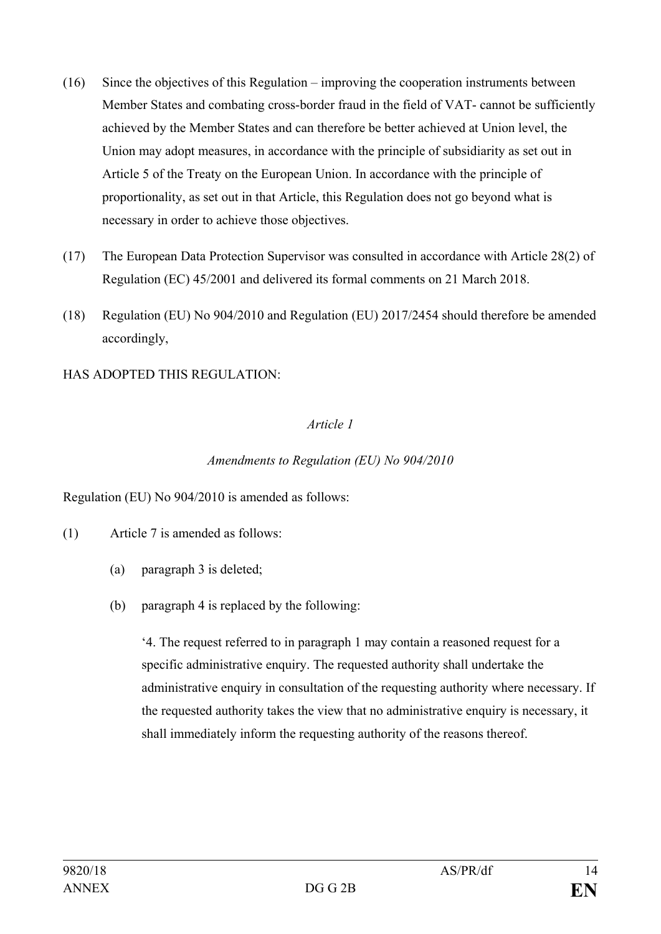- (16) Since the objectives of this Regulation improving the cooperation instruments between Member States and combating cross-border fraud in the field of VAT- cannot be sufficiently achieved by the Member States and can therefore be better achieved at Union level, the Union may adopt measures, in accordance with the principle of subsidiarity as set out in Article 5 of the Treaty on the European Union. In accordance with the principle of proportionality, as set out in that Article, this Regulation does not go beyond what is necessary in order to achieve those objectives.
- (17) The European Data Protection Supervisor was consulted in accordance with Article 28(2) of Regulation (EC) 45/2001 and delivered its formal comments on 21 March 2018.
- (18) Regulation (EU) No 904/2010 and Regulation (EU) 2017/2454 should therefore be amended accordingly,

# HAS ADOPTED THIS REGULATION:

## *Article 1*

## *Amendments to Regulation (EU) No 904/2010*

Regulation (EU) No 904/2010 is amended as follows:

- (1) Article 7 is amended as follows:
	- (a) paragraph 3 is deleted;
	- (b) paragraph 4 is replaced by the following:

'4. The request referred to in paragraph 1 may contain a reasoned request for a specific administrative enquiry. The requested authority shall undertake the administrative enquiry in consultation of the requesting authority where necessary. If the requested authority takes the view that no administrative enquiry is necessary, it shall immediately inform the requesting authority of the reasons thereof.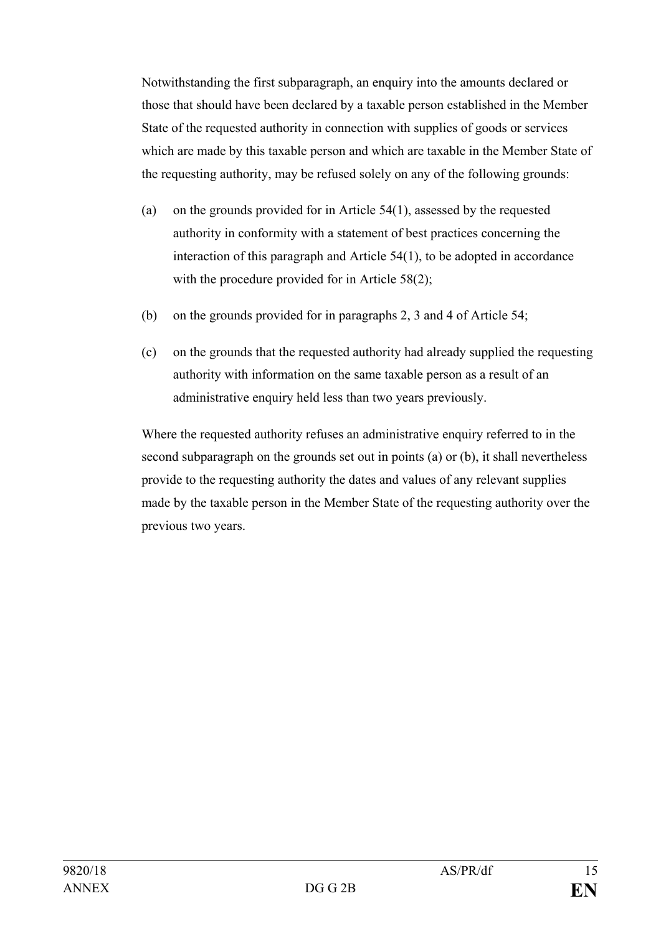Notwithstanding the first subparagraph, an enquiry into the amounts declared or those that should have been declared by a taxable person established in the Member State of the requested authority in connection with supplies of goods or services which are made by this taxable person and which are taxable in the Member State of the requesting authority, may be refused solely on any of the following grounds:

- (a) on the grounds provided for in Article 54(1), assessed by the requested authority in conformity with a statement of best practices concerning the interaction of this paragraph and Article 54(1), to be adopted in accordance with the procedure provided for in Article 58(2);
- (b) on the grounds provided for in paragraphs 2, 3 and 4 of Article 54;
- (c) on the grounds that the requested authority had already supplied the requesting authority with information on the same taxable person as a result of an administrative enquiry held less than two years previously.

Where the requested authority refuses an administrative enquiry referred to in the second subparagraph on the grounds set out in points (a) or (b), it shall nevertheless provide to the requesting authority the dates and values of any relevant supplies made by the taxable person in the Member State of the requesting authority over the previous two years.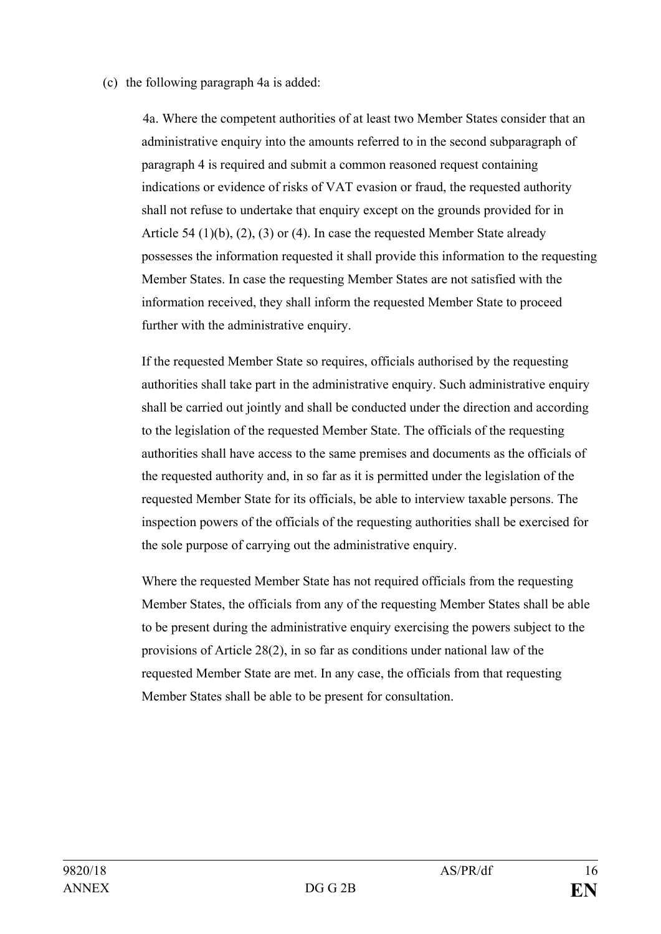#### (c) the following paragraph 4a is added:

4a. Where the competent authorities of at least two Member States consider that an administrative enquiry into the amounts referred to in the second subparagraph of paragraph 4 is required and submit a common reasoned request containing indications or evidence of risks of VAT evasion or fraud, the requested authority shall not refuse to undertake that enquiry except on the grounds provided for in Article 54 (1)(b), (2), (3) or (4). In case the requested Member State already possesses the information requested it shall provide this information to the requesting Member States. In case the requesting Member States are not satisfied with the information received, they shall inform the requested Member State to proceed further with the administrative enquiry.

If the requested Member State so requires, officials authorised by the requesting authorities shall take part in the administrative enquiry. Such administrative enquiry shall be carried out jointly and shall be conducted under the direction and according to the legislation of the requested Member State. The officials of the requesting authorities shall have access to the same premises and documents as the officials of the requested authority and, in so far as it is permitted under the legislation of the requested Member State for its officials, be able to interview taxable persons. The inspection powers of the officials of the requesting authorities shall be exercised for the sole purpose of carrying out the administrative enquiry.

Where the requested Member State has not required officials from the requesting Member States, the officials from any of the requesting Member States shall be able to be present during the administrative enquiry exercising the powers subject to the provisions of Article 28(2), in so far as conditions under national law of the requested Member State are met. In any case, the officials from that requesting Member States shall be able to be present for consultation.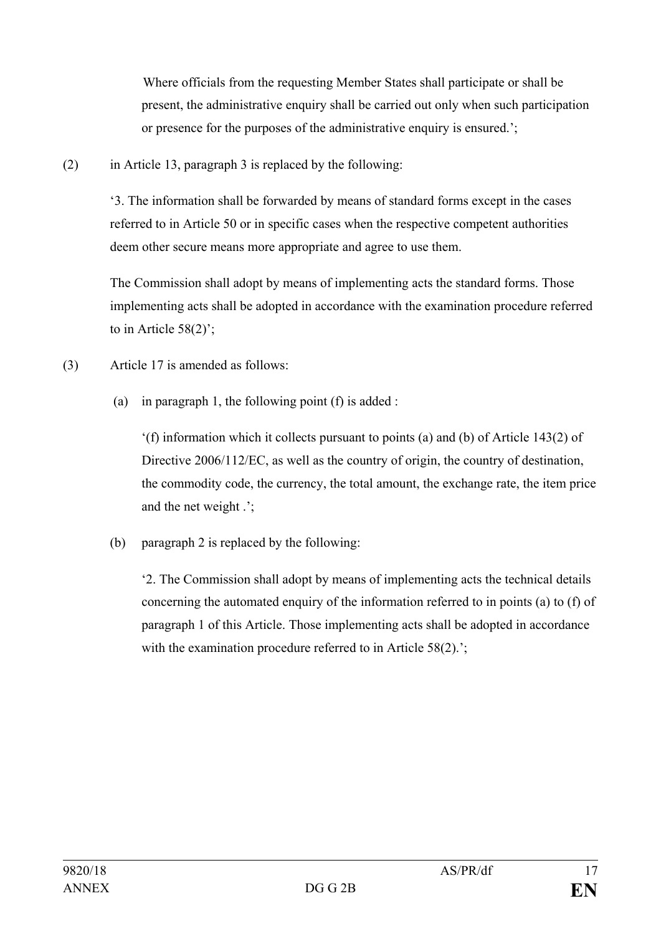Where officials from the requesting Member States shall participate or shall be present, the administrative enquiry shall be carried out only when such participation or presence for the purposes of the administrative enquiry is ensured.':

(2) in Article 13, paragraph 3 is replaced by the following:

'3. The information shall be forwarded by means of standard forms except in the cases referred to in Article 50 or in specific cases when the respective competent authorities deem other secure means more appropriate and agree to use them.

The Commission shall adopt by means of implementing acts the standard forms. Those implementing acts shall be adopted in accordance with the examination procedure referred to in Article  $58(2)$ ;

(3) Article 17 is amended as follows:

(a) in paragraph 1, the following point  $(f)$  is added :

'(f) information which it collects pursuant to points (a) and (b) of Article 143(2) of Directive 2006/112/EC, as well as the country of origin, the country of destination, the commodity code, the currency, the total amount, the exchange rate, the item price and the net weight .';

(b) paragraph 2 is replaced by the following:

'2. The Commission shall adopt by means of implementing acts the technical details concerning the automated enquiry of the information referred to in points (а) to (f) of paragraph 1 of this Article. Those implementing acts shall be adopted in accordance with the examination procedure referred to in Article 58(2).';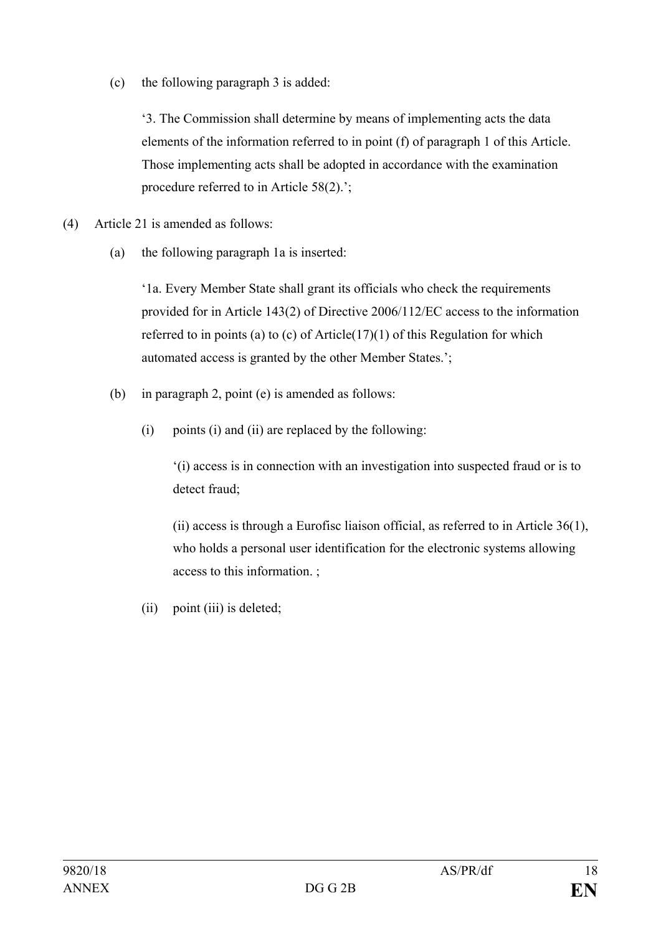(c) the following paragraph 3 is added:

'3. The Commission shall determine by means of implementing acts the data elements of the information referred to in point (f) of paragraph 1 of this Article. Those implementing acts shall be adopted in accordance with the examination procedure referred to in Article 58(2).';

- (4) Article 21 is amended as follows:
	- (a) the following paragraph 1a is inserted:

'1a. Every Member State shall grant its officials who check the requirements provided for in Article 143(2) of Directive 2006/112/EC access to the information referred to in points (a) to (c) of Article(17)(1) of this Regulation for which automated access is granted by the other Member States.';

- (b) in paragraph 2, point (e) is amended as follows:
	- (i) points (i) and (ii) are replaced by the following:

'(i) access is in connection with an investigation into suspected fraud or is to detect fraud;

(ii) access is through a Eurofisc liaison official, as referred to in Article 36(1), who holds a personal user identification for the electronic systems allowing access to this information. ;

(ii) point (iii) is deleted;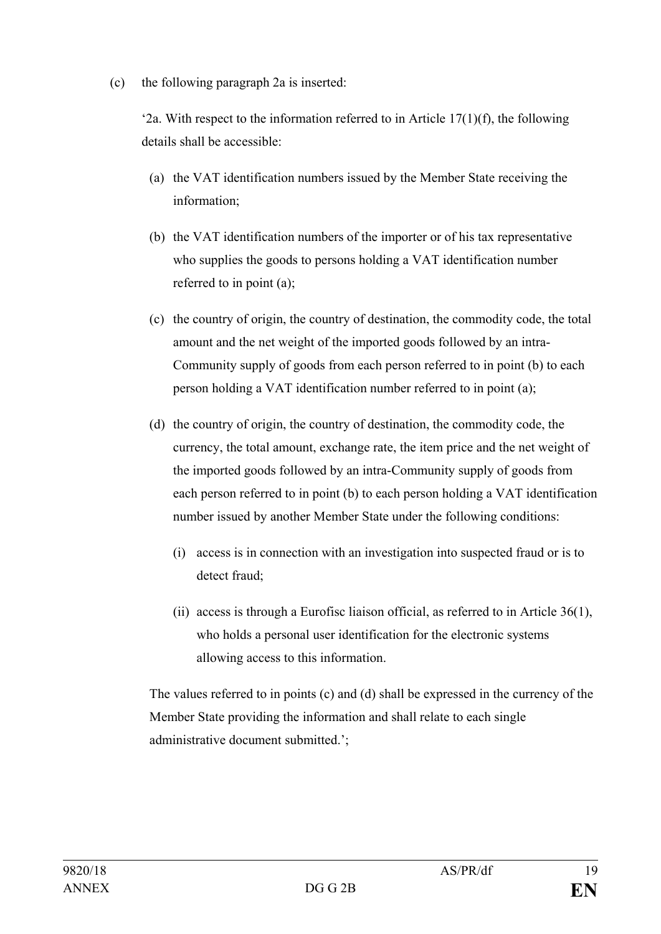(c) the following paragraph 2a is inserted:

'2a. With respect to the information referred to in Article  $17(1)(f)$ , the following details shall be accessible:

- (a) the VAT identification numbers issued by the Member State receiving the information;
- (b) the VAT identification numbers of the importer or of his tax representative who supplies the goods to persons holding a VAT identification number referred to in point (a);
- (c) the country of origin, the country of destination, the commodity code, the total amount and the net weight of the imported goods followed by an intra-Community supply of goods from each person referred to in point (b) to each person holding a VAT identification number referred to in point (a);
- (d) the country of origin, the country of destination, the commodity code, the currency, the total amount, exchange rate, the item price and the net weight of the imported goods followed by an intra-Community supply of goods from each person referred to in point (b) to each person holding a VAT identification number issued by another Member State under the following conditions:
	- (i) access is in connection with an investigation into suspected fraud or is to detect fraud;
	- (ii) access is through a Eurofisc liaison official, as referred to in Article 36(1), who holds a personal user identification for the electronic systems allowing access to this information.

The values referred to in points (c) and (d) shall be expressed in the currency of the Member State providing the information and shall relate to each single administrative document submitted.';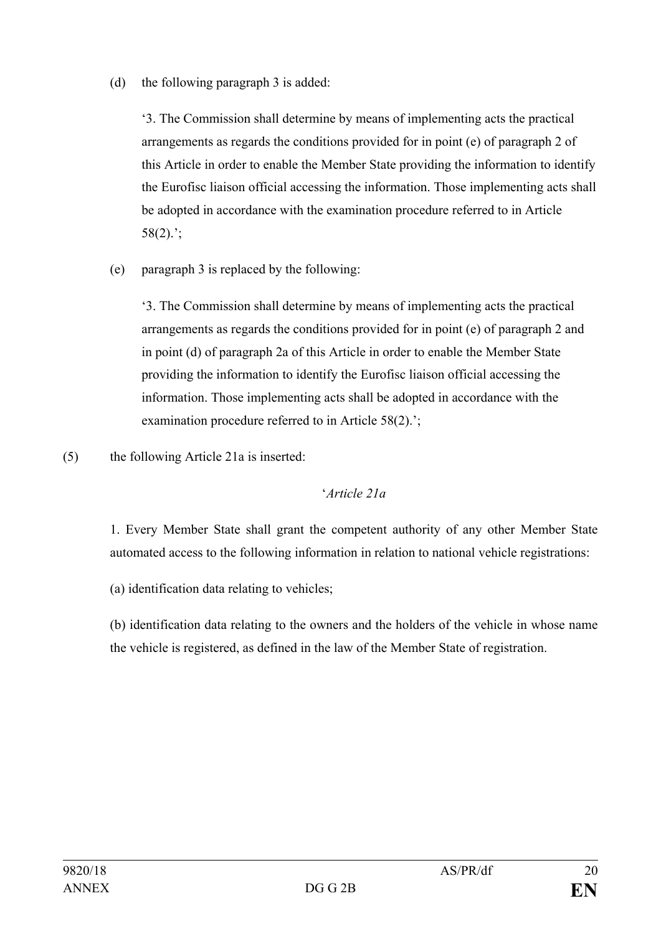(d) the following paragraph 3 is added:

'3. The Commission shall determine by means of implementing acts the practical arrangements as regards the conditions provided for in point (e) of paragraph 2 of this Article in order to enable the Member State providing the information to identify the Eurofisc liaison official accessing the information. Those implementing acts shall be adopted in accordance with the examination procedure referred to in Article  $58(2)$ ;

(e) paragraph 3 is replaced by the following:

'3. The Commission shall determine by means of implementing acts the practical arrangements as regards the conditions provided for in point (e) of paragraph 2 and in point (d) of paragraph 2a of this Article in order to enable the Member State providing the information to identify the Eurofisc liaison official accessing the information. Those implementing acts shall be adopted in accordance with the examination procedure referred to in Article 58(2).';

(5) the following Article 21a is inserted:

## '*Article 21a*

1. Every Member State shall grant the competent authority of any other Member State automated access to the following information in relation to national vehicle registrations:

(a) identification data relating to vehicles;

(b) identification data relating to the owners and the holders of the vehicle in whose name the vehicle is registered, as defined in the law of the Member State of registration.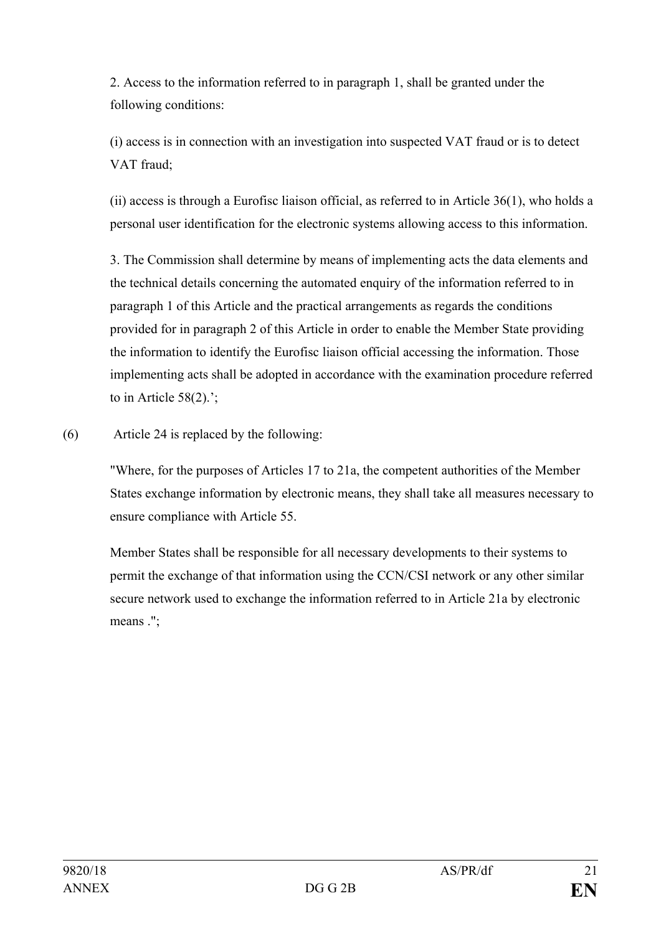2. Access to the information referred to in paragraph 1, shall be granted under the following conditions:

(i) access is in connection with an investigation into suspected VAT fraud or is to detect VAT fraud;

(ii) access is through a Eurofisc liaison official, as referred to in Article 36(1), who holds a personal user identification for the electronic systems allowing access to this information.

3. The Commission shall determine by means of implementing acts the data elements and the technical details concerning the automated enquiry of the information referred to in paragraph 1 of this Article and the practical arrangements as regards the conditions provided for in paragraph 2 of this Article in order to enable the Member State providing the information to identify the Eurofisc liaison official accessing the information. Those implementing acts shall be adopted in accordance with the examination procedure referred to in Article 58(2).';

(6) Article 24 is replaced by the following:

"Where, for the purposes of Articles 17 to 21a, the competent authorities of the Member States exchange information by electronic means, they shall take all measures necessary to ensure compliance with Article 55.

Member States shall be responsible for all necessary developments to their systems to permit the exchange of that information using the CCN/CSI network or any other similar secure network used to exchange the information referred to in Article 21a by electronic means .";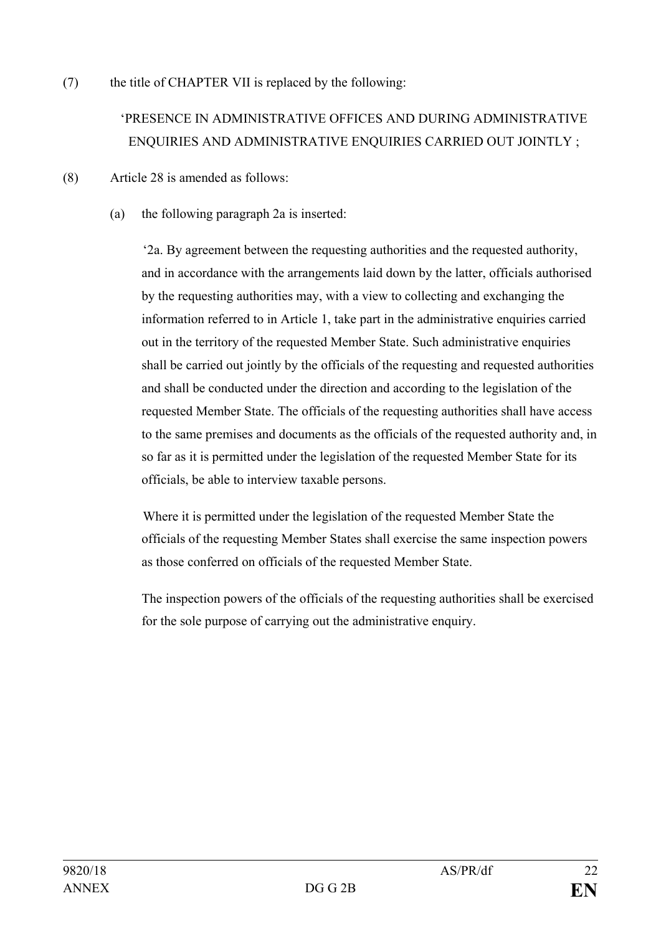(7) the title of CHAPTER VII is replaced by the following:

# 'PRESENCE IN ADMINISTRATIVE OFFICES AND DURING ADMINISTRATIVE ENQUIRIES AND ADMINISTRATIVE ENQUIRIES CARRIED OUT JOINTLY ;

- (8) Article 28 is amended as follows:
	- (a) the following paragraph 2a is inserted:

'2a. By agreement between the requesting authorities and the requested authority, and in accordance with the arrangements laid down by the latter, officials authorised by the requesting authorities may, with a view to collecting and exchanging the information referred to in Article 1, take part in the administrative enquiries carried out in the territory of the requested Member State. Such administrative enquiries shall be carried out jointly by the officials of the requesting and requested authorities and shall be conducted under the direction and according to the legislation of the requested Member State. The officials of the requesting authorities shall have access to the same premises and documents as the officials of the requested authority and, in so far as it is permitted under the legislation of the requested Member State for its officials, be able to interview taxable persons.

Where it is permitted under the legislation of the requested Member State the officials of the requesting Member States shall exercise the same inspection powers as those conferred on officials of the requested Member State.

The inspection powers of the officials of the requesting authorities shall be exercised for the sole purpose of carrying out the administrative enquiry.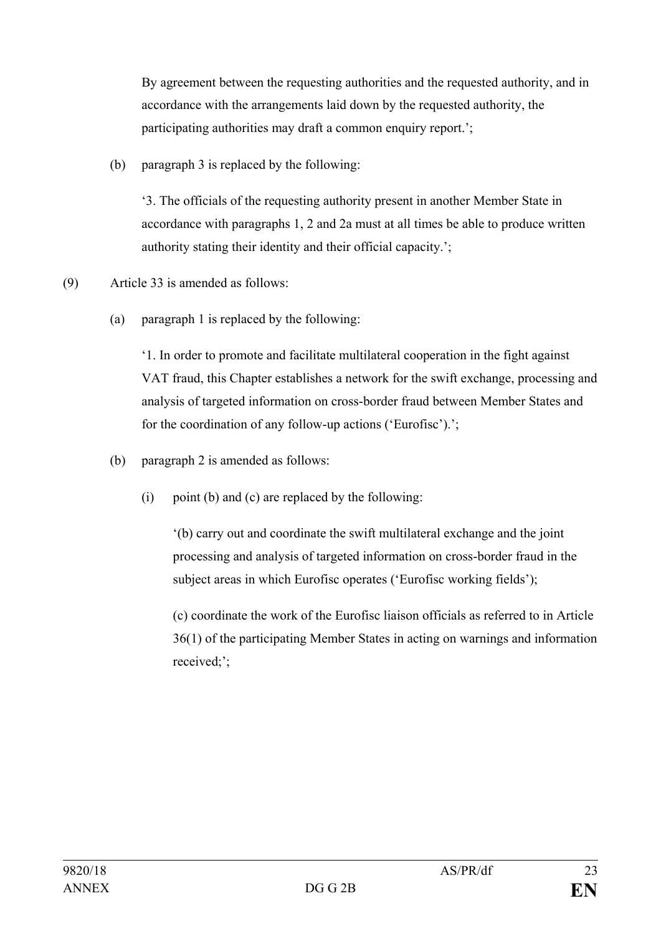By agreement between the requesting authorities and the requested authority, and in accordance with the arrangements laid down by the requested authority, the participating authorities may draft a common enquiry report.';

(b) paragraph 3 is replaced by the following:

'3. The officials of the requesting authority present in another Member State in accordance with paragraphs 1, 2 and 2a must at all times be able to produce written authority stating their identity and their official capacity.';

- (9) Article 33 is amended as follows:
	- (a) paragraph 1 is replaced by the following:

'1. In order to promote and facilitate multilateral cooperation in the fight against VAT fraud, this Chapter establishes a network for the swift exchange, processing and analysis of targeted information on cross-border fraud between Member States and for the coordination of any follow-up actions ('Eurofisc').';

- (b) paragraph 2 is amended as follows:
	- (i) point (b) and (c) are replaced by the following:

'(b) carry out and coordinate the swift multilateral exchange and the joint processing and analysis of targeted information on cross-border fraud in the subject areas in which Eurofisc operates ('Eurofisc working fields');

(c) coordinate the work of the Eurofisc liaison officials as referred to in Article 36(1) of the participating Member States in acting on warnings and information received;';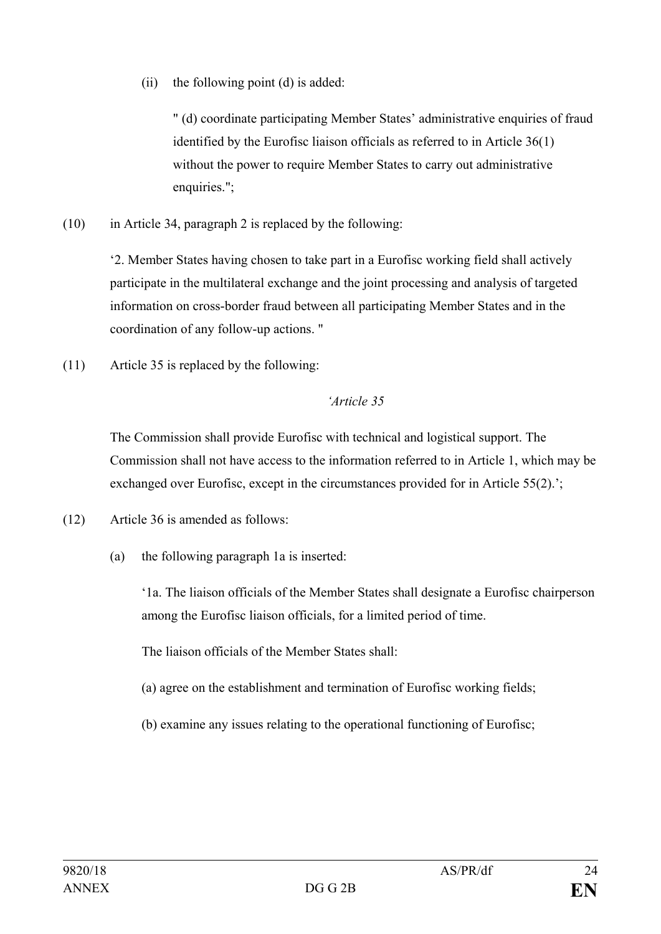(ii) the following point (d) is added:

" (d) coordinate participating Member States' administrative enquiries of fraud identified by the Eurofisc liaison officials as referred to in Article 36(1) without the power to require Member States to carry out administrative enquiries.";

(10) in Article 34, paragraph 2 is replaced by the following:

'2. Member States having chosen to take part in a Eurofisc working field shall actively participate in the multilateral exchange and the joint processing and analysis of targeted information on cross-border fraud between all participating Member States and in the coordination of any follow-up actions. "

(11) Article 35 is replaced by the following:

## *'Article 35*

The Commission shall provide Eurofisc with technical and logistical support. The Commission shall not have access to the information referred to in Article 1, which may be exchanged over Eurofisc, except in the circumstances provided for in Article 55(2).';

- (12) Article 36 is amended as follows:
	- (a) the following paragraph 1a is inserted:

'1a. The liaison officials of the Member States shall designate a Eurofisc chairperson among the Eurofisc liaison officials, for a limited period of time.

The liaison officials of the Member States shall:

- (a) agree on the establishment and termination of Eurofisc working fields;
- (b) examine any issues relating to the operational functioning of Eurofisc;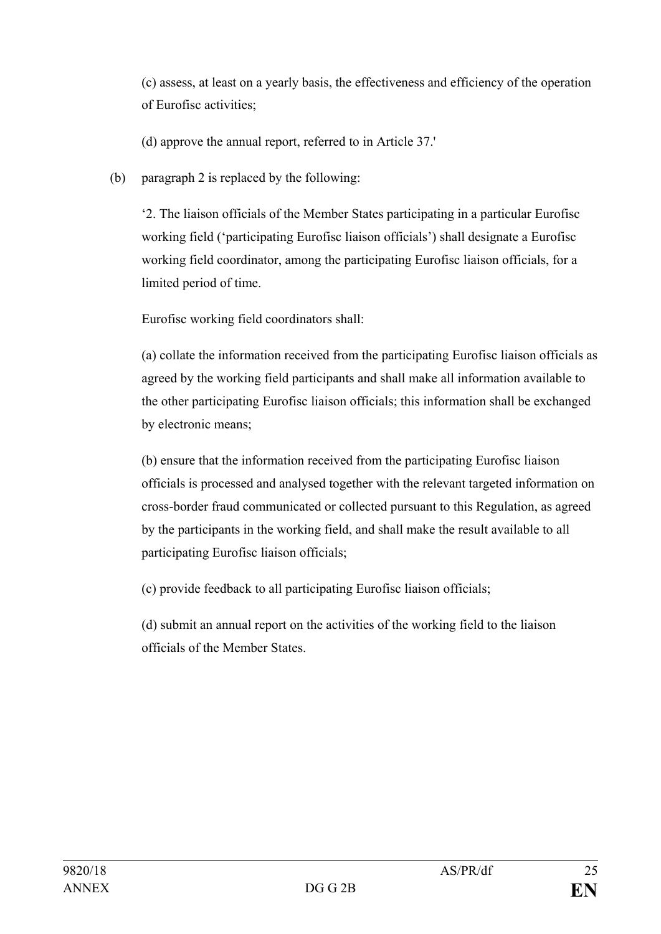(c) assess, at least on a yearly basis, the effectiveness and efficiency of the operation of Eurofisc activities;

(d) approve the annual report, referred to in Article 37.'

(b) paragraph 2 is replaced by the following:

'2. The liaison officials of the Member States participating in a particular Eurofisc working field ('participating Eurofisc liaison officials') shall designate a Eurofisc working field coordinator, among the participating Eurofisc liaison officials, for a limited period of time.

Eurofisc working field coordinators shall:

(a) collate the information received from the participating Eurofisc liaison officials as agreed by the working field participants and shall make all information available to the other participating Eurofisc liaison officials; this information shall be exchanged by electronic means;

(b) ensure that the information received from the participating Eurofisc liaison officials is processed and analysed together with the relevant targeted information on cross-border fraud communicated or collected pursuant to this Regulation, as agreed by the participants in the working field, and shall make the result available to all participating Eurofisc liaison officials;

(c) provide feedback to all participating Eurofisc liaison officials;

(d) submit an annual report on the activities of the working field to the liaison officials of the Member States.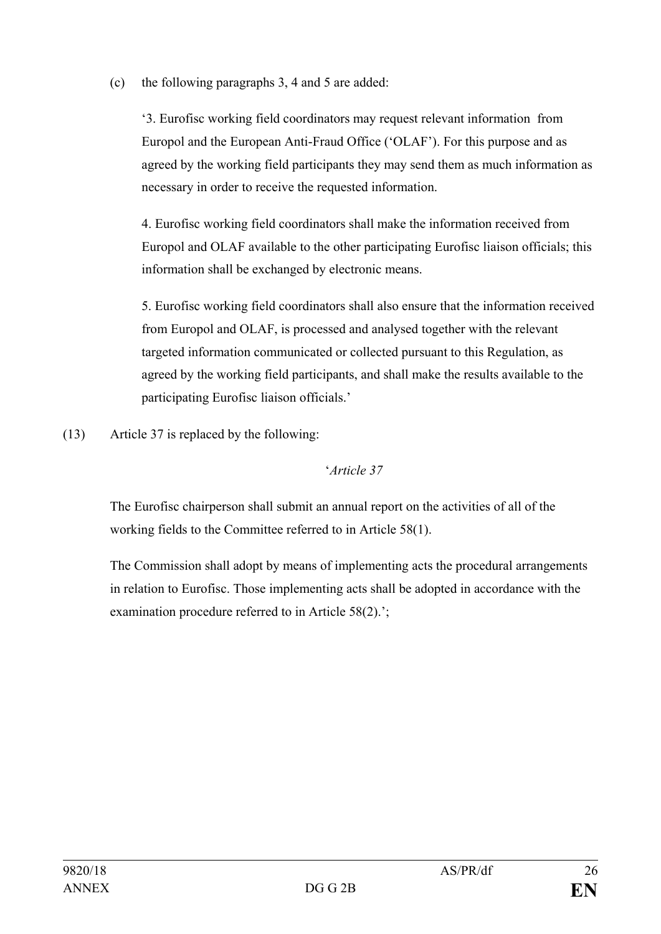(c) the following paragraphs 3, 4 and 5 are added:

'3. Eurofisc working field coordinators may request relevant information from Europol and the European Anti-Fraud Office ('OLAF'). For this purpose and as agreed by the working field participants they may send them as much information as necessary in order to receive the requested information.

4. Eurofisc working field coordinators shall make the information received from Europol and OLAF available to the other participating Eurofisc liaison officials; this information shall be exchanged by electronic means.

5. Eurofisc working field coordinators shall also ensure that the information received from Europol and OLAF, is processed and analysed together with the relevant targeted information communicated or collected pursuant to this Regulation, as agreed by the working field participants, and shall make the results available to the participating Eurofisc liaison officials.'

(13) Article 37 is replaced by the following:

## '*Article 37*

The Eurofisc chairperson shall submit an annual report on the activities of all of the working fields to the Committee referred to in Article 58(1).

The Commission shall adopt by means of implementing acts the procedural arrangements in relation to Eurofisc. Those implementing acts shall be adopted in accordance with the examination procedure referred to in Article 58(2).';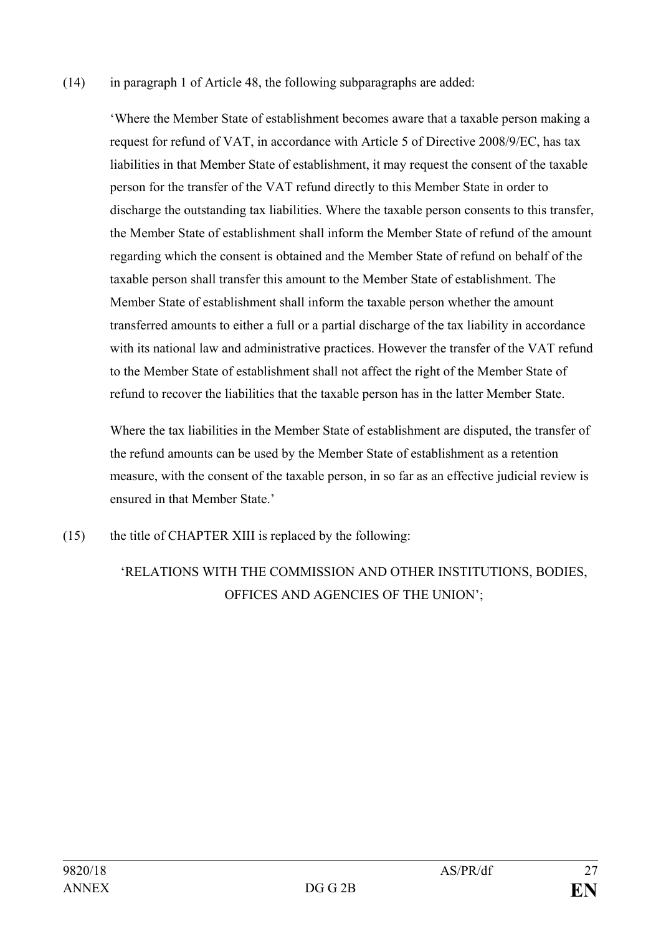(14) in paragraph 1 of Article 48, the following subparagraphs are added:

'Where the Member State of establishment becomes aware that a taxable person making a request for refund of VAT, in accordance with Article 5 of Directive 2008/9/EC, has tax liabilities in that Member State of establishment, it may request the consent of the taxable person for the transfer of the VAT refund directly to this Member State in order to discharge the outstanding tax liabilities. Where the taxable person consents to this transfer, the Member State of establishment shall inform the Member State of refund of the amount regarding which the consent is obtained and the Member State of refund on behalf of the taxable person shall transfer this amount to the Member State of establishment. The Member State of establishment shall inform the taxable person whether the amount transferred amounts to either a full or a partial discharge of the tax liability in accordance with its national law and administrative practices. However the transfer of the VAT refund to the Member State of establishment shall not affect the right of the Member State of refund to recover the liabilities that the taxable person has in the latter Member State.

Where the tax liabilities in the Member State of establishment are disputed, the transfer of the refund amounts can be used by the Member State of establishment as a retention measure, with the consent of the taxable person, in so far as an effective judicial review is ensured in that Member State.'

(15) the title of CHAPTER XIII is replaced by the following:

# 'RELATIONS WITH THE COMMISSION AND OTHER INSTITUTIONS, BODIES, OFFICES AND AGENCIES OF THE UNION';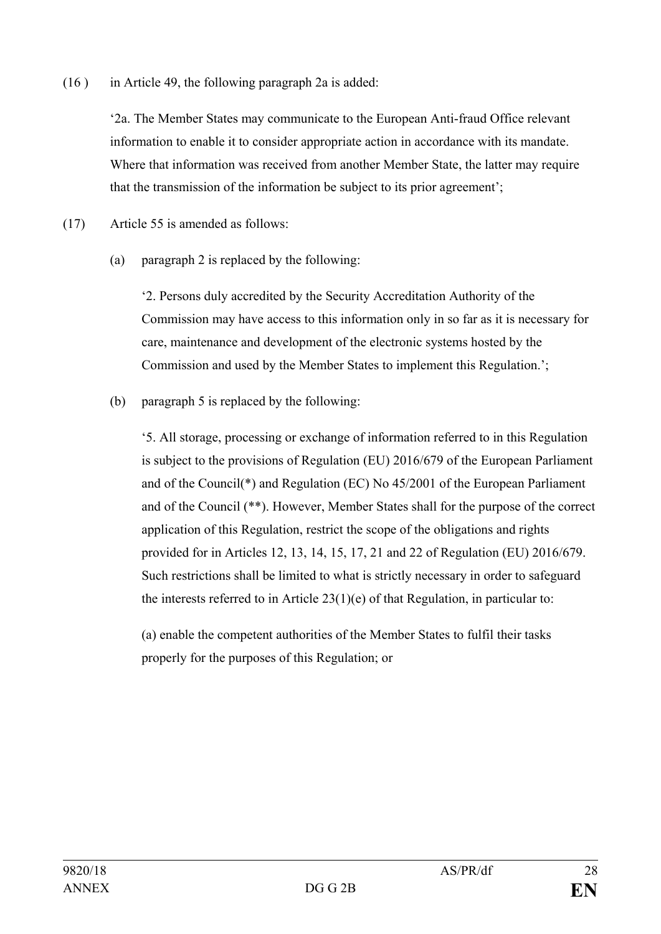(16 ) in Article 49, the following paragraph 2a is added:

'2a. The Member States may communicate to the European Anti-fraud Office relevant information to enable it to consider appropriate action in accordance with its mandate. Where that information was received from another Member State, the latter may require that the transmission of the information be subject to its prior agreement';

(17) Article 55 is amended as follows:

(a) paragraph 2 is replaced by the following:

'2. Persons duly accredited by the Security Accreditation Authority of the Commission may have access to this information only in so far as it is necessary for care, maintenance and development of the electronic systems hosted by the Commission and used by the Member States to implement this Regulation.';

(b) paragraph 5 is replaced by the following:

'5. All storage, processing or exchange of information referred to in this Regulation is subject to the provisions of Regulation (EU) 2016/679 of the European Parliament and of the Council(\*) and Regulation (EC) No 45/2001 of the European Parliament and of the Council (\*\*). However, Member States shall for the purpose of the correct application of this Regulation, restrict the scope of the obligations and rights provided for in Articles 12, 13, 14, 15, 17, 21 and 22 of Regulation (EU) 2016/679. Such restrictions shall be limited to what is strictly necessary in order to safeguard the interests referred to in Article  $23(1)(e)$  of that Regulation, in particular to:

(a) enable the competent authorities of the Member States to fulfil their tasks properly for the purposes of this Regulation; or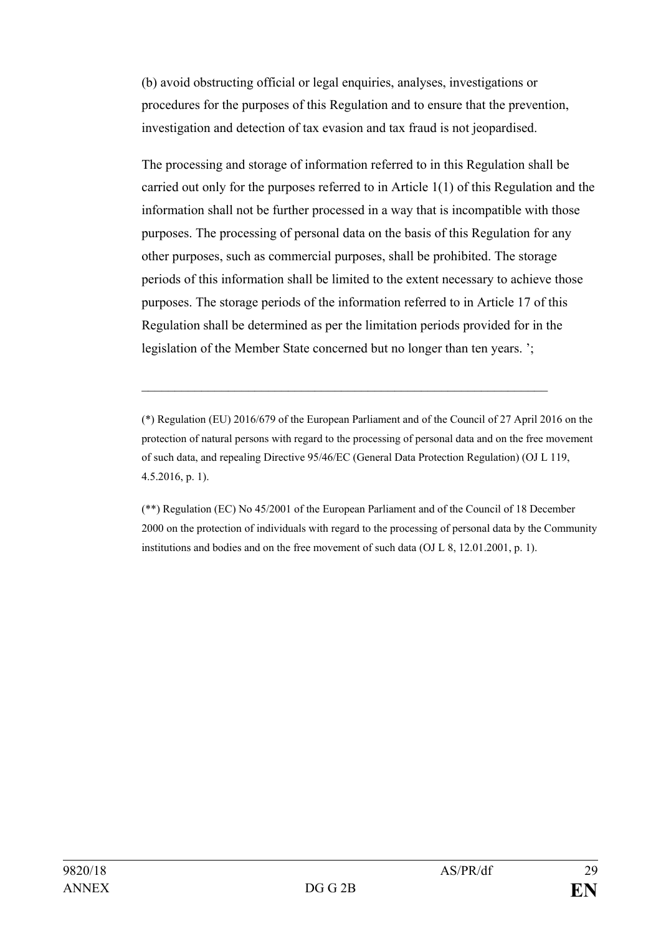(b) avoid obstructing official or legal enquiries, analyses, investigations or procedures for the purposes of this Regulation and to ensure that the prevention, investigation and detection of tax evasion and tax fraud is not jeopardised.

The processing and storage of information referred to in this Regulation shall be carried out only for the purposes referred to in Article 1(1) of this Regulation and the information shall not be further processed in a way that is incompatible with those purposes. The processing of personal data on the basis of this Regulation for any other purposes, such as commercial purposes, shall be prohibited. The storage periods of this information shall be limited to the extent necessary to achieve those purposes. The storage periods of the information referred to in Article 17 of this Regulation shall be determined as per the limitation periods provided for in the legislation of the Member State concerned but no longer than ten years. ';

(\*) Regulation (EU) 2016/679 of the European Parliament and of the Council of 27 April 2016 on the protection of natural persons with regard to the processing of personal data and on the free movement of such data, and repealing Directive 95/46/EC (General Data Protection Regulation) (OJ L 119, 4.5.2016, p. 1).

 $\_$  , and the set of the set of the set of the set of the set of the set of the set of the set of the set of the set of the set of the set of the set of the set of the set of the set of the set of the set of the set of th

(\*\*) Regulation (EC) No 45/2001 of the European Parliament and of the Council of 18 December 2000 on the protection of individuals with regard to the processing of personal data by the Community institutions and bodies and on the free movement of such data (OJ L 8, 12.01.2001, p. 1).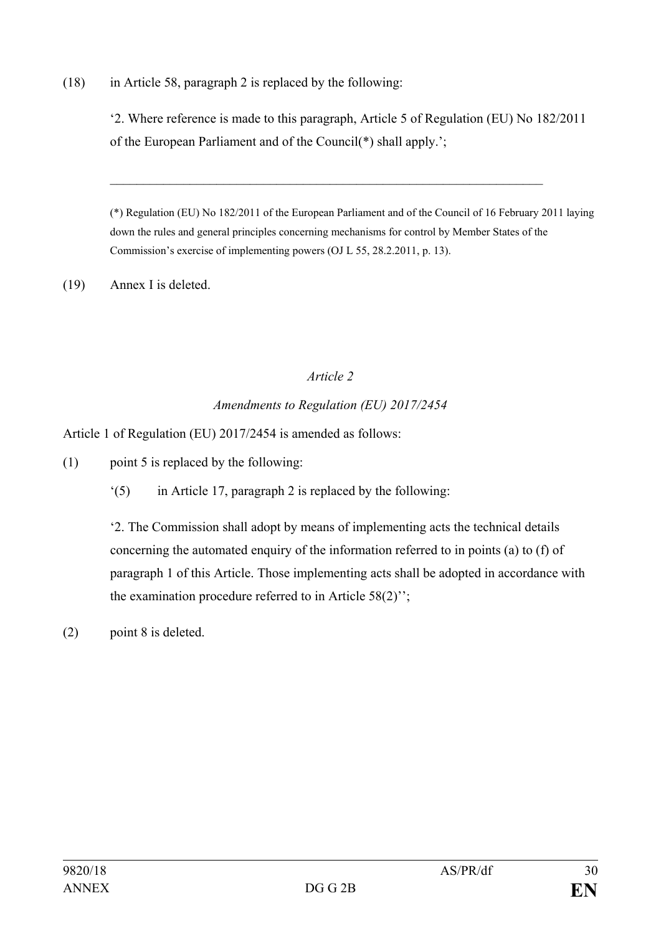(18) in Article 58, paragraph 2 is replaced by the following:

'2. Where reference is made to this paragraph, Article 5 of Regulation (EU) No 182/2011 of the European Parliament and of the Council(\*) shall apply.';

\_\_\_\_\_\_\_\_\_\_\_\_\_\_\_\_\_\_\_\_\_\_\_\_\_\_\_\_\_\_\_\_\_\_\_\_\_\_\_\_\_\_\_\_\_\_\_\_\_\_\_\_\_\_\_\_\_\_\_\_\_\_\_\_\_

(\*) Regulation (EU) No 182/2011 of the European Parliament and of the Council of 16 February 2011 laying down the rules and general principles concerning mechanisms for control by Member States of the Commission's exercise of implementing powers (OJ L 55, 28.2.2011, p. 13).

(19) Annex I is deleted.

## *Article 2*

# *Amendments to Regulation (EU) 2017/2454*

Article 1 of Regulation (EU) 2017/2454 is amended as follows:

(1) point 5 is replaced by the following:

'(5) in Article 17, paragraph 2 is replaced by the following:

'2. The Commission shall adopt by means of implementing acts the technical details concerning the automated enquiry of the information referred to in points (a) to (f) of paragraph 1 of this Article. Those implementing acts shall be adopted in accordance with the examination procedure referred to in Article 58(2)'';

(2) point 8 is deleted.